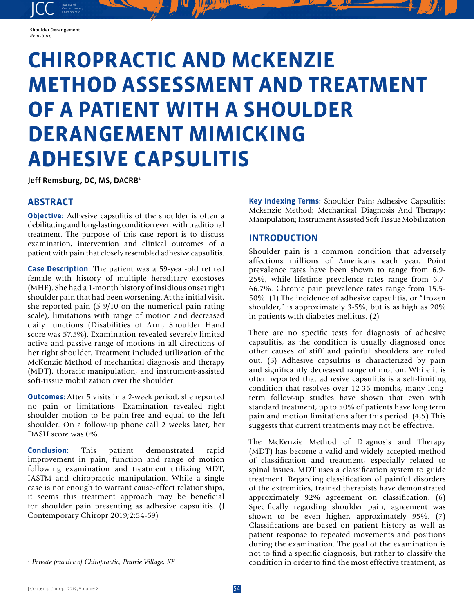#### Shoulder Derangement *Remsburg*

JCC contemporary Contemporary

# **CHIROPRACTIC AND MCKENZIE METHOD ASSESSMENT AND TREATMENT OF A PATIENT WITH A SHOULDER DERANGEMENT MIMICKING ADHESIVE CAPSULITIS**

Jeff Remsburg, DC, MS, DACRB<sup>1</sup>

# **ABSTRACT**

**Objective:** Adhesive capsulitis of the shoulder is often a debilitating and long-lasting condition even with traditional treatment. The purpose of this case report is to discuss examination, intervention and clinical outcomes of a patient with pain that closely resembled adhesive capsulitis.

**Case Description:** The patient was a 59-year-old retired female with history of multiple hereditary exostoses (MHE). She had a 1-month history of insidious onset right shoulder pain that had been worsening. At the initial visit, she reported pain (5-9/10 on the numerical pain rating scale), limitations with range of motion and decreased daily functions (Disabilities of Arm, Shoulder Hand score was 57.5%). Examination revealed severely limited active and passive range of motions in all directions of her right shoulder. Treatment included utilization of the McKenzie Method of mechanical diagnosis and therapy (MDT), thoracic manipulation, and instrument-assisted soft-tissue mobilization over the shoulder.

**Outcomes:** After 5 visits in a 2-week period, she reported no pain or limitations. Examination revealed right shoulder motion to be pain-free and equal to the left shoulder. On a follow-up phone call 2 weeks later, her DASH score was 0%.

**Conclusion:** This patient demonstrated rapid improvement in pain, function and range of motion following examination and treatment utilizing MDT, IASTM and chiropractic manipulation. While a single case is not enough to warrant cause-effect relationships, it seems this treatment approach may be beneficial for shoulder pain presenting as adhesive capsulitis. (J Contemporary Chiropr 2019;2:54-59)

**Key Indexing Terms:** Shoulder Pain; Adhesive Capsulitis; Mckenzie Method; Mechanical Diagnosis And Therapy; Manipulation; Instrument Assisted Soft Tissue Mobilization

## **INTRODUCTION**

Shoulder pain is a common condition that adversely affections millions of Americans each year. Point prevalence rates have been shown to range from 6.9- 25%, while lifetime prevalence rates range from 6.7- 66.7%. Chronic pain prevalence rates range from 15.5- 50%. (1) The incidence of adhesive capsulitis, or "frozen shoulder," is approximately 3-5%, but is as high as 20% in patients with diabetes mellitus. (2)

There are no specific tests for diagnosis of adhesive capsulitis, as the condition is usually diagnosed once other causes of stiff and painful shoulders are ruled out. (3) Adhesive capsulitis is characterized by pain and significantly decreased range of motion. While it is often reported that adhesive capsulitis is a self-limiting condition that resolves over 12-36 months, many longterm follow-up studies have shown that even with standard treatment, up to 50% of patients have long term pain and motion limitations after this period. (4,5) This suggests that current treatments may not be effective.

The McKenzie Method of Diagnosis and Therapy (MDT) has become a valid and widely accepted method of classification and treatment, especially related to spinal issues. MDT uses a classification system to guide treatment. Regarding classification of painful disorders of the extremities, trained therapists have demonstrated approximately 92% agreement on classification. (6) Specifically regarding shoulder pain, agreement was shown to be even higher, approximately 95%. (7) Classifications are based on patient history as well as patient response to repeated movements and positions during the examination. The goal of the examination is not to find a specific diagnosis, but rather to classify the condition in order to find the most effective treatment, as

*<sup>1</sup> Private practice of Chiropractic, Prairie Village, KS*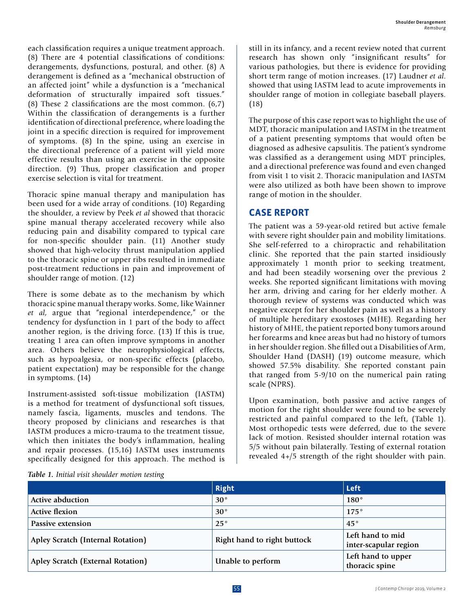each classification requires a unique treatment approach. (8) There are 4 potential classifications of conditions: derangements, dysfunctions, postural, and other. (8) A derangement is defined as a "mechanical obstruction of an affected joint" while a dysfunction is a "mechanical deformation of structurally impaired soft tissues." (8) These 2 classifications are the most common. (6,7) Within the classification of derangements is a further identification of directional preference, where loading the joint in a specific direction is required for improvement of symptoms. (8) In the spine, using an exercise in the directional preference of a patient will yield more effective results than using an exercise in the opposite direction. (9) Thus, proper classification and proper exercise selection is vital for treatment.

Thoracic spine manual therapy and manipulation has been used for a wide array of conditions. (10) Regarding the shoulder, a review by Peek *et al* showed that thoracic spine manual therapy accelerated recovery while also reducing pain and disability compared to typical care for non-specific shoulder pain. (11) Another study showed that high-velocity thrust manipulation applied to the thoracic spine or upper ribs resulted in immediate post-treatment reductions in pain and improvement of shoulder range of motion. (12)

There is some debate as to the mechanism by which thoracic spine manual therapy works. Some, like Wainner *et al*, argue that "regional interdependence," or the tendency for dysfunction in 1 part of the body to affect another region, is the driving force. (13) If this is true, treating 1 area can often improve symptoms in another area. Others believe the neurophysiological effects, such as hypoalgesia, or non-specific effects (placebo, patient expectation) may be responsible for the change in symptoms. (14)

Instrument-assisted soft-tissue mobilization (IASTM) is a method for treatment of dysfunctional soft tissues, namely fascia, ligaments, muscles and tendons. The theory proposed by clinicians and researches is that IASTM produces a micro-trauma to the treatment tissue, which then initiates the body's inflammation, healing and repair processes. (15,16) IASTM uses instruments specifically designed for this approach. The method is

still in its infancy, and a recent review noted that current research has shown only "insignificant results" for various pathologies, but there is evidence for providing short term range of motion increases. (17) Laudner *et al*. showed that using IASTM lead to acute improvements in shoulder range of motion in collegiate baseball players. (18)

The purpose of this case report was to highlight the use of MDT, thoracic manipulation and IASTM in the treatment of a patient presenting symptoms that would often be diagnosed as adhesive capsulitis. The patient's syndrome was classified as a derangement using MDT principles, and a directional preference was found and even changed from visit 1 to visit 2. Thoracic manipulation and IASTM were also utilized as both have been shown to improve range of motion in the shoulder.

### **CASE REPORT**

The patient was a 59-year-old retired but active female with severe right shoulder pain and mobility limitations. She self-referred to a chiropractic and rehabilitation clinic. She reported that the pain started insidiously approximately 1 month prior to seeking treatment, and had been steadily worsening over the previous 2 weeks. She reported significant limitations with moving her arm, driving and caring for her elderly mother. A thorough review of systems was conducted which was negative except for her shoulder pain as well as a history of multiple hereditary exostoses (MHE). Regarding her history of MHE, the patient reported bony tumors around her forearms and knee areas but had no history of tumors in her shoulder region. She filled out a Disabilities of Arm, Shoulder Hand (DASH) (19) outcome measure, which showed 57.5% disability. She reported constant pain that ranged from 5-9/10 on the numerical pain rating scale (NPRS).

Upon examination, both passive and active ranges of motion for the right shoulder were found to be severely restricted and painful compared to the left, (Table 1). Most orthopedic tests were deferred, due to the severe lack of motion. Resisted shoulder internal rotation was 5/5 without pain bilaterally. Testing of external rotation revealed 4+/5 strength of the right shoulder with pain.

*Table 1. Initial visit shoulder motion testing*

|                                   | Right                       | <b>Left</b>                               |
|-----------------------------------|-----------------------------|-------------------------------------------|
| <b>Active abduction</b>           | $30^{\circ}$                | $180^\circ$                               |
| <b>Active flexion</b>             | $30^{\circ}$                | $175^\circ$                               |
| Passive extension                 | $25^{\circ}$                | $45^{\circ}$                              |
| Apley Scratch (Internal Rotation) | Right hand to right buttock | Left hand to mid<br>inter-scapular region |
| Apley Scratch (External Rotation) | Unable to perform           | Left hand to upper<br>thoracic spine      |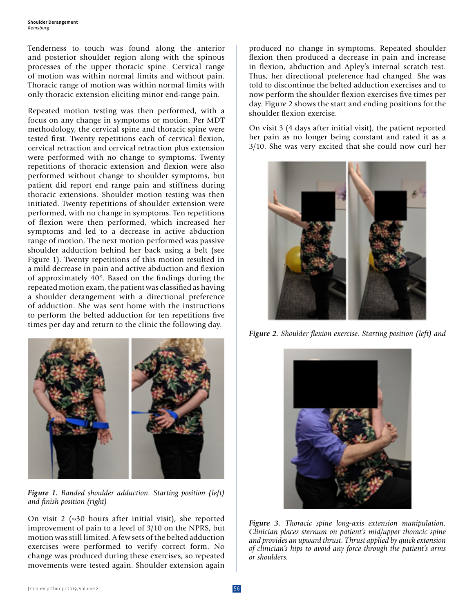Tenderness to touch was found along the anterior and posterior shoulder region along with the spinous processes of the upper thoracic spine. Cervical range of motion was within normal limits and without pain. Thoracic range of motion was within normal limits with only thoracic extension eliciting minor end-range pain.

Repeated motion testing was then performed, with a focus on any change in symptoms or motion. Per MDT methodology, the cervical spine and thoracic spine were tested first. Twenty repetitions each of cervical flexion, cervical retraction and cervical retraction plus extension were performed with no change to symptoms. Twenty repetitions of thoracic extension and flexion were also performed without change to shoulder symptoms, but patient did report end range pain and stiffness during thoracic extensions. Shoulder motion testing was then initiated. Twenty repetitions of shoulder extension were performed, with no change in symptoms. Ten repetitions of flexion were then performed, which increased her symptoms and led to a decrease in active abduction range of motion. The next motion performed was passive shoulder adduction behind her back using a belt (see Figure 1). Twenty repetitions of this motion resulted in a mild decrease in pain and active abduction and flexion of approximately 40°. Based on the findings during the repeated motion exam, the patient was classified as having a shoulder derangement with a directional preference of adduction. She was sent home with the instructions to perform the belted adduction for ten repetitions five times per day and return to the clinic the following day.



*Figure 1. Banded shoulder adduction. Starting position (left) and finish position (right)*

On visit 2 (~30 hours after initial visit), she reported improvement of pain to a level of 3/10 on the NPRS, but motion was still limited. A few sets of the belted adduction exercises were performed to verify correct form. No change was produced during these exercises, so repeated movements were tested again. Shoulder extension again

produced no change in symptoms. Repeated shoulder flexion then produced a decrease in pain and increase in flexion, abduction and Apley's internal scratch test. Thus, her directional preference had changed. She was told to discontinue the belted adduction exercises and to now perform the shoulder flexion exercises five times per day. Figure 2 shows the start and ending positions for the shoulder flexion exercise.

On visit 3 (4 days after initial visit), the patient reported her pain as no longer being constant and rated it as a 3/10. She was very excited that she could now curl her



*Figure 2. Shoulder flexion exercise. Starting position (left) and* 



*Figure 3. Thoracic spine long-axis extension manipulation. Clinician places sternum on patient's mid/upper thoracic spine and provides an upward thrust. Thrust applied by quick extension of clinician's hips to avoid any force through the patient's arms or shoulders.*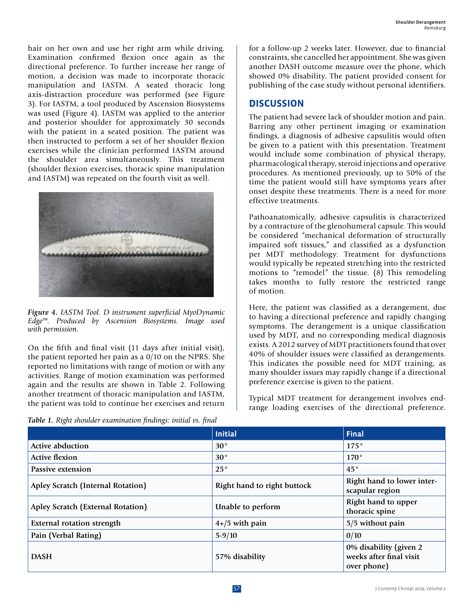hair on her own and use her right arm while driving. Examination confirmed flexion once again as the directional preference. To further increase her range of motion, a decision was made to incorporate thoracic manipulation and IASTM. A seated thoracic long axis-distraction procedure was performed (see Figure 3). For IASTM, a tool produced by Ascension Biosystems was used (Figure 4). IASTM was applied to the anterior and posterior shoulder for approximately 30 seconds with the patient in a seated position. The patient was then instructed to perform a set of her shoulder flexion exercises while the clinician performed IASTM around the shoulder area simultaneously. This treatment (shoulder flexion exercises, thoracic spine manipulation and IASTM) was repeated on the fourth visit as well.



*Figure 4. IASTM Tool. D instrument superficial MyoDynamic Edge™. Produced by Ascension Biosystems. Image used with permission.*

On the fifth and final visit (11 days after initial visit), the patient reported her pain as a 0/10 on the NPRS. She reported no limitations with range of motion or with any activities. Range of motion examination was performed again and the results are shown in Table 2. Following another treatment of thoracic manipulation and IASTM, the patient was told to continue her exercises and return

*Table 1. Right shoulder examination findings: initial vs. final*

for a follow-up 2 weeks later. However, due to financial constraints, she cancelled her appointment. She was given another DASH outcome measure over the phone, which showed 0% disability. The patient provided consent for publishing of the case study without personal identifiers.

#### **DISCUSSION**

The patient had severe lack of shoulder motion and pain. Barring any other pertinent imaging or examination findings, a diagnosis of adhesive capsulitis would often be given to a patient with this presentation. Treatment would include some combination of physical therapy, pharmacological therapy, steroid injections and operative procedures. As mentioned previously, up to 50% of the time the patient would still have symptoms years after onset despite these treatments. There is a need for more effective treatments.

Pathoanatomically, adhesive capsulitis is characterized by a contracture of the glenohumeral capsule. This would be considered "mechanical deformation of structurally impaired soft tissues," and classified as a dysfunction per MDT methodology. Treatment for dysfunctions would typically be repeated stretching into the restricted motions to "remodel" the tissue. (8) This remodeling takes months to fully restore the restricted range of motion.

Here, the patient was classified as a derangement, due to having a directional preference and rapidly changing symptoms. The derangement is a unique classification used by MDT, and no corresponding medical diagnosis exists. A 2012 survey of MDT practitioners found that over 40% of shoulder issues were classified as derangements. This indicates the possible need for MDT training, as many shoulder issues may rapidly change if a directional preference exercise is given to the patient.

Typical MDT treatment for derangement involves endrange loading exercises of the directional preference.

|                                   | <b>Initial</b>              | Final                                                            |
|-----------------------------------|-----------------------------|------------------------------------------------------------------|
| <b>Active abduction</b>           | $30^\circ$                  | $175^\circ$                                                      |
| <b>Active flexion</b>             | $30^\circ$                  | $170^{\circ}$                                                    |
| Passive extension                 | $25^{\circ}$                | $45^{\circ}$                                                     |
| Apley Scratch (Internal Rotation) | Right hand to right buttock | Right hand to lower inter-<br>scapular region                    |
| Apley Scratch (External Rotation) | Unable to perform           | Right hand to upper<br>thoracic spine                            |
| <b>External rotation strength</b> | $4+/5$ with pain            | 5/5 without pain                                                 |
| Pain (Verbal Rating)              | $5 - 9/10$                  | 0/10                                                             |
| <b>DASH</b>                       | 57% disability              | 0% disability (given 2<br>weeks after final visit<br>over phone) |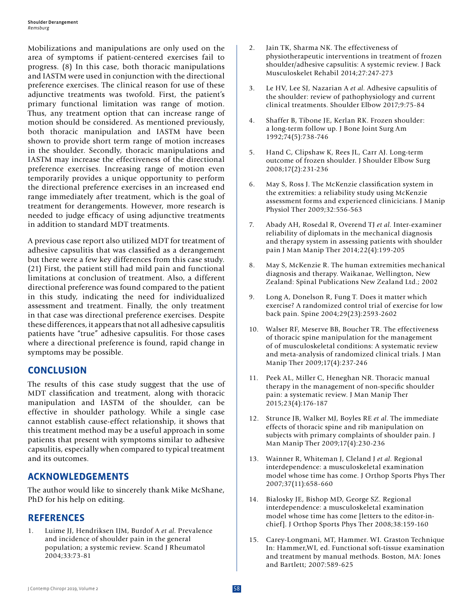Mobilizations and manipulations are only used on the area of symptoms if patient-centered exercises fail to progress. (8) In this case, both thoracic manipulations and IASTM were used in conjunction with the directional preference exercises. The clinical reason for use of these adjunctive treatments was twofold. First, the patient's primary functional limitation was range of motion. Thus, any treatment option that can increase range of motion should be considered. As mentioned previously, both thoracic manipulation and IASTM have been shown to provide short term range of motion increases in the shoulder. Secondly, thoracic manipulations and IASTM may increase the effectiveness of the directional preference exercises. Increasing range of motion even temporarily provides a unique opportunity to perform the directional preference exercises in an increased end range immediately after treatment, which is the goal of treatment for derangements. However, more research is needed to judge efficacy of using adjunctive treatments in addition to standard MDT treatments.

A previous case report also utilized MDT for treatment of adhesive capsulitis that was classified as a derangement but there were a few key differences from this case study. (21) First, the patient still had mild pain and functional limitations at conclusion of treatment. Also, a different directional preference was found compared to the patient in this study, indicating the need for individualized assessment and treatment. Finally, the only treatment in that case was directional preference exercises. Despite these differences, it appears that not all adhesive capsulitis patients have "true" adhesive capsulitis. For those cases where a directional preference is found, rapid change in symptoms may be possible.

#### **CONCLUSION**

The results of this case study suggest that the use of MDT classification and treatment, along with thoracic manipulation and IASTM of the shoulder, can be effective in shoulder pathology. While a single case cannot establish cause-effect relationship, it shows that this treatment method may be a useful approach in some patients that present with symptoms similar to adhesive capsulitis, especially when compared to typical treatment and its outcomes.

#### **ACKNOWLEDGEMENTS**

The author would like to sincerely thank Mike McShane, PhD for his help on editing.

#### **REFERENCES**

1. Luime JJ, Hendriksen IJM, Burdof A *et al*. Prevalence and incidence of shoulder pain in the general population; a systemic review. Scand J Rheumatol 2004;33:73-81

- 2. Jain TK, Sharma NK. The effectiveness of physiotherapeutic interventions in treatment of frozen shoulder/adhesive capsulitis: A systemic review. J Back Musculoskelet Rehabil 2014;27:247-273
- 3. Le HV, Lee SJ, Nazarian A *et al*. Adhesive capsulitis of the shoulder: review of pathophysiology and current clinical treatments. Shoulder Elbow 2017;9:75-84
- 4. Shaffer B, Tibone JE, Kerlan RK. Frozen shoulder: a long-term follow up. J Bone Joint Surg Am 1992;74(5):738-746
- 5. Hand C, Clipshaw K, Rees JL, Carr AJ. Long-term outcome of frozen shoulder. J Shoulder Elbow Surg 2008;17(2):231-236
- 6. May S, Ross J. The McKenzie classification system in the extremities: a reliability study using McKenzie assessment forms and experienced clinicicians. J Manip Physiol Ther 2009;32:556-563
- 7. Abady AH, Rosedal R, Overend TJ *et al*. Inter-examiner reliability of diplomats in the mechanical diagnosis and therapy system in assessing patients with shoulder pain J Man Manip Ther 2014;22(4):199-205
- 8. May S, McKenzie R. The human extremities mechanical diagnosis and therapy. Waikanae, Wellington, New Zealand: Spinal Publications New Zealand Ltd.; 2002
- 9. Long A, Donelson R, Fung T. Does it matter which exercise? A randomized control trial of exercise for low back pain. Spine 2004;29(23):2593-2602
- 10. Walser RF, Meserve BB, Boucher TR. The effectiveness of thoracic spine manipulation for the management of of musculoskeletal conditions: A systematic review and meta-analysis of randomized clinical trials. J Man Manip Ther 2009;17(4):237-246
- 11. Peek AL, Miller C, Heneghan NR. Thoracic manual therapy in the management of non-specific shoulder pain: a systematic review. J Man Manip Ther 2015;23(4):176-187
- 12. Strunce JB, Walker MJ, Boyles RE *et al*. The immediate effects of thoracic spine and rib manipulation on subjects with primary complaints of shoulder pain. J Man Manip Ther 2009;17(4):230-236
- 13. Wainner R, Whiteman J, Cleland J *et al*. Regional interdependence: a musculoskeletal examination model whose time has come. J Orthop Sports Phys Ther 2007;37(11):658-660
- 14. Bialosky JE, Bishop MD, George SZ. Regional interdependence: a musculoskeletal examination model whose time has come [letters to the editor-inchief]. J Orthop Sports Phys Ther 2008;38:159-160
- 15. Carey-Longmani, MT, Hammer. WI. Graston Technique In: Hammer,WI, ed. Functional soft-tissue examination and treatment by manual methods. Boston, MA: Jones and Bartlett; 2007:589-625